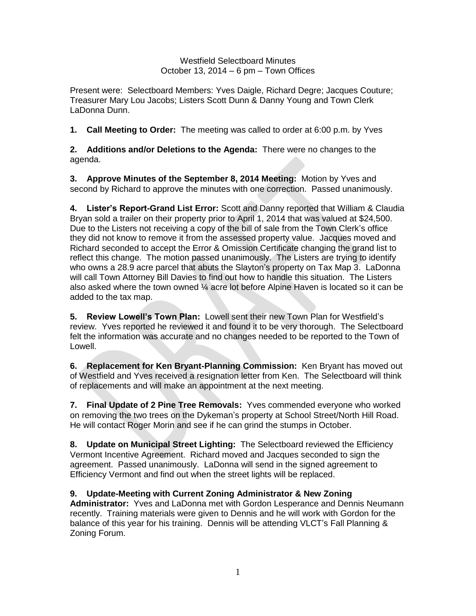Westfield Selectboard Minutes October 13, 2014 – 6 pm – Town Offices

Present were: Selectboard Members: Yves Daigle, Richard Degre; Jacques Couture; Treasurer Mary Lou Jacobs; Listers Scott Dunn & Danny Young and Town Clerk LaDonna Dunn.

**1. Call Meeting to Order:** The meeting was called to order at 6:00 p.m. by Yves

**2. Additions and/or Deletions to the Agenda:** There were no changes to the agenda.

**3. Approve Minutes of the September 8, 2014 Meeting:** Motion by Yves and second by Richard to approve the minutes with one correction. Passed unanimously.

**4. Lister's Report-Grand List Error:** Scott and Danny reported that William & Claudia Bryan sold a trailer on their property prior to April 1, 2014 that was valued at \$24,500. Due to the Listers not receiving a copy of the bill of sale from the Town Clerk's office they did not know to remove it from the assessed property value. Jacques moved and Richard seconded to accept the Error & Omission Certificate changing the grand list to reflect this change. The motion passed unanimously. The Listers are trying to identify who owns a 28.9 acre parcel that abuts the Slayton's property on Tax Map 3. LaDonna will call Town Attorney Bill Davies to find out how to handle this situation. The Listers also asked where the town owned  $\mathcal{V}_4$  acre lot before Alpine Haven is located so it can be added to the tax map.

**5. Review Lowell's Town Plan:** Lowell sent their new Town Plan for Westfield's review. Yves reported he reviewed it and found it to be very thorough. The Selectboard felt the information was accurate and no changes needed to be reported to the Town of Lowell.

**6. Replacement for Ken Bryant-Planning Commission:** Ken Bryant has moved out of Westfield and Yves received a resignation letter from Ken. The Selectboard will think of replacements and will make an appointment at the next meeting.

**7. Final Update of 2 Pine Tree Removals:** Yves commended everyone who worked on removing the two trees on the Dykeman's property at School Street/North Hill Road. He will contact Roger Morin and see if he can grind the stumps in October.

**8. Update on Municipal Street Lighting:** The Selectboard reviewed the Efficiency Vermont Incentive Agreement. Richard moved and Jacques seconded to sign the agreement. Passed unanimously. LaDonna will send in the signed agreement to Efficiency Vermont and find out when the street lights will be replaced.

**9. Update-Meeting with Current Zoning Administrator & New Zoning** 

**Administrator:** Yves and LaDonna met with Gordon Lesperance and Dennis Neumann recently. Training materials were given to Dennis and he will work with Gordon for the balance of this year for his training. Dennis will be attending VLCT's Fall Planning & Zoning Forum.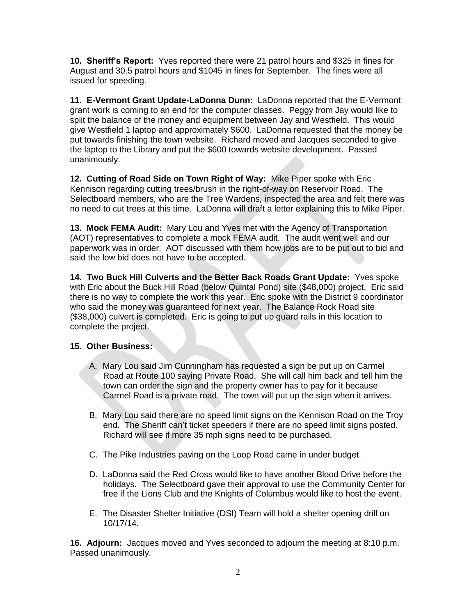**10. Sheriff's Report:** Yves reported there were 21 patrol hours and \$325 in fines for August and 30.5 patrol hours and \$1045 in fines for September. The fines were all issued for speeding.

**11. E-Vermont Grant Update-LaDonna Dunn:** LaDonna reported that the E-Vermont grant work is coming to an end for the computer classes. Peggy from Jay would like to split the balance of the money and equipment between Jay and Westfield. This would give Westfield 1 laptop and approximately \$600. LaDonna requested that the money be put towards finishing the town website. Richard moved and Jacques seconded to give the laptop to the Library and put the \$600 towards website development. Passed unanimously.

**12. Cutting of Road Side on Town Right of Way:** Mike Piper spoke with Eric Kennison regarding cutting trees/brush in the right-of-way on Reservoir Road. The Selectboard members, who are the Tree Wardens, inspected the area and felt there was no need to cut trees at this time. LaDonna will draft a letter explaining this to Mike Piper.

**13. Mock FEMA Audit:** Mary Lou and Yves met with the Agency of Transportation (AOT) representatives to complete a mock FEMA audit. The audit went well and our paperwork was in order. AOT discussed with them how jobs are to be put out to bid and said the low bid does not have to be accepted.

**14. Two Buck Hill Culverts and the Better Back Roads Grant Update:** Yves spoke with Eric about the Buck Hill Road (below Quintal Pond) site (\$48,000) project. Eric said there is no way to complete the work this year. Eric spoke with the District 9 coordinator who said the money was guaranteed for next year. The Balance Rock Road site (\$38,000) culvert is completed. Eric is going to put up guard rails in this location to complete the project.

## **15. Other Business:**

- A. Mary Lou said Jim Cunningham has requested a sign be put up on Carmel Road at Route 100 saying Private Road. She will call him back and tell him the town can order the sign and the property owner has to pay for it because Carmel Road is a private road. The town will put up the sign when it arrives.
- B. Mary Lou said there are no speed limit signs on the Kennison Road on the Troy end. The Sheriff can't ticket speeders if there are no speed limit signs posted. Richard will see if more 35 mph signs need to be purchased.
- C. The Pike Industries paving on the Loop Road came in under budget.
- D. LaDonna said the Red Cross would like to have another Blood Drive before the holidays. The Selectboard gave their approval to use the Community Center for free if the Lions Club and the Knights of Columbus would like to host the event.
- E. The Disaster Shelter Initiative (DSI) Team will hold a shelter opening drill on 10/17/14.

**16. Adjourn:** Jacques moved and Yves seconded to adjourn the meeting at 8:10 p.m. Passed unanimously.